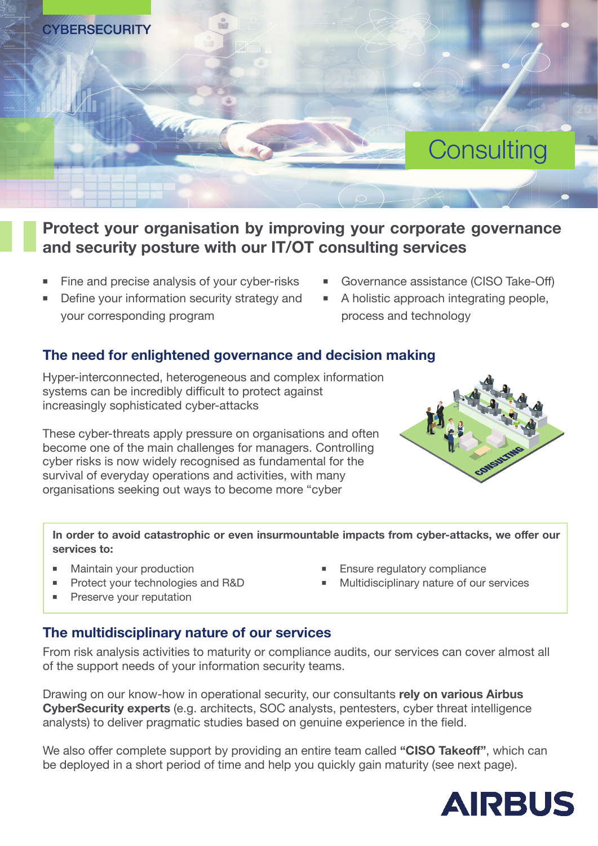

## **Protect your organisation by improving your corporate governance and security posture with our IT/OT consulting services**

- Fine and precise analysis of your cyber-risks
- Define your information security strategy and your corresponding program
- Governance assistance (CISO Take-Off)
- A holistic approach integrating people, process and technology

### **The need for enlightened governance and decision making**

Hyper-interconnected, heterogeneous and complex information systems can be incredibly difficult to protect against increasingly sophisticated cyber-attacks

These cyber-threats apply pressure on organisations and often become one of the main challenges for managers. Controlling cyber risks is now widely recognised as fundamental for the survival of everyday operations and activities, with many organisations seeking out ways to become more "cyber



**In order to avoid catastrophic or even insurmountable impacts from cyber-attacks, we offer our services to:**

- Maintain your production
- Protect your technologies and R&D
- Preserve your reputation

### Ensure regulatory compliance

■ Multidisciplinary nature of our services

### **The multidisciplinary nature of our services**

From risk analysis activities to maturity or compliance audits, our services can cover almost all of the support needs of your information security teams.

Drawing on our know-how in operational security, our consultants **rely on various Airbus CyberSecurity experts** (e.g. architects, SOC analysts, pentesters, cyber threat intelligence analysts) to deliver pragmatic studies based on genuine experience in the field.

We also offer complete support by providing an entire team called **"CISO Takeoff"**, which can be deployed in a short period of time and help you quickly gain maturity (see next page).